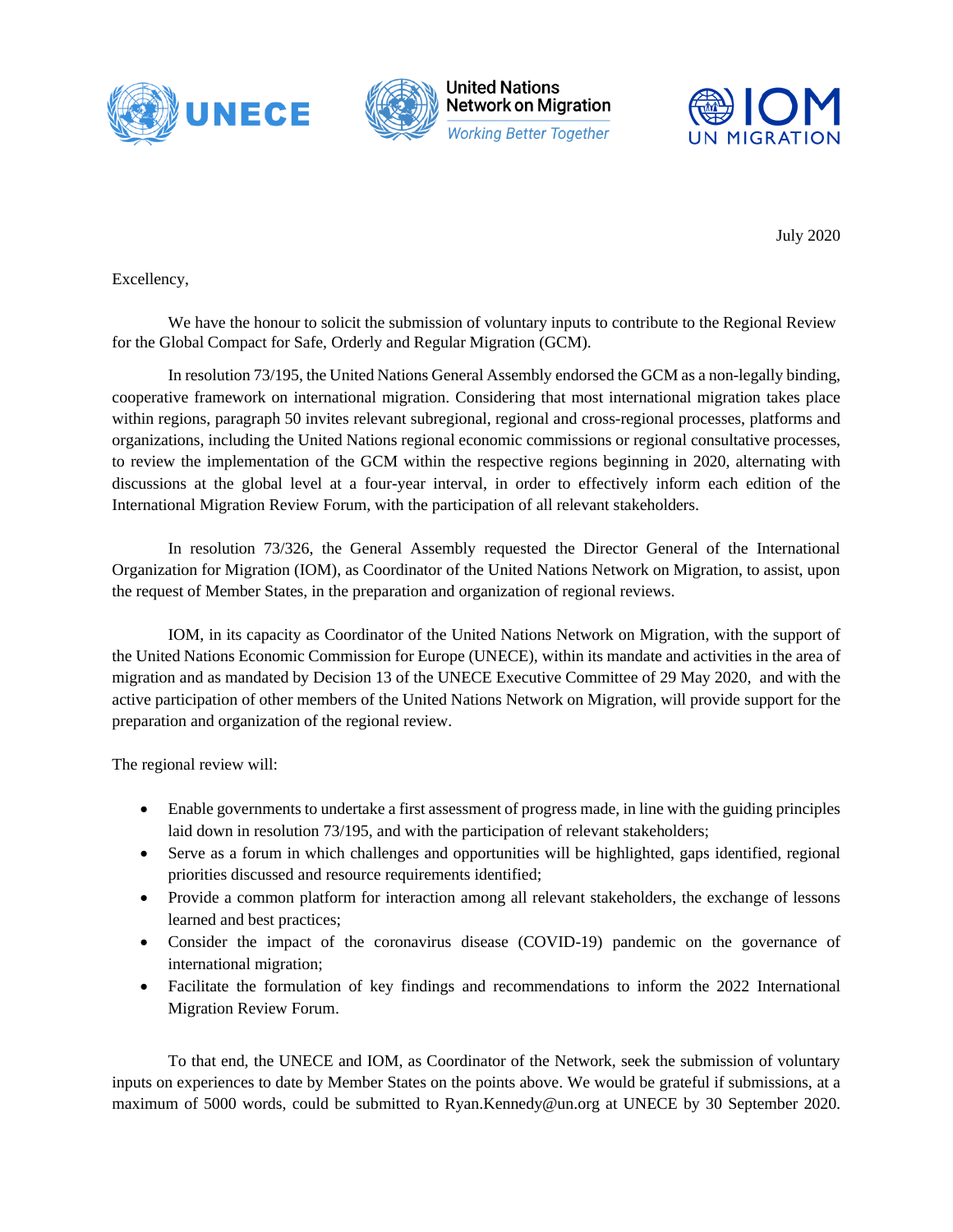



**United Nations Network on Migration Working Better Together** 



July 2020

Excellency,

We have the honour to solicit the submission of voluntary inputs to contribute to the Regional Review for the Global Compact for Safe, Orderly and Regular Migration (GCM).

In resolution 73/195, the United Nations General Assembly endorsed the GCM as a non-legally binding, cooperative framework on international migration. Considering that most international migration takes place within regions, paragraph 50 invites relevant subregional, regional and cross-regional processes, platforms and organizations, including the United Nations regional economic commissions or regional consultative processes, to review the implementation of the GCM within the respective regions beginning in 2020, alternating with discussions at the global level at a four-year interval, in order to effectively inform each edition of the International Migration Review Forum, with the participation of all relevant stakeholders.

In resolution 73/326, the General Assembly requested the Director General of the International Organization for Migration (IOM), as Coordinator of the United Nations Network on Migration, to assist, upon the request of Member States, in the preparation and organization of regional reviews.

IOM, in its capacity as Coordinator of the United Nations Network on Migration, with the support of the United Nations Economic Commission for Europe (UNECE), within its mandate and activities in the area of migration and as mandated by Decision 13 of the UNECE Executive Committee of 29 May 2020, and with the active participation of other members of the United Nations Network on Migration, will provide support for the preparation and organization of the regional review.

The regional review will:

- Enable governments to undertake a first assessment of progress made, in line with the guiding principles laid down in resolution 73/195, and with the participation of relevant stakeholders;
- Serve as a forum in which challenges and opportunities will be highlighted, gaps identified, regional priorities discussed and resource requirements identified;
- Provide a common platform for interaction among all relevant stakeholders, the exchange of lessons learned and best practices;
- Consider the impact of the coronavirus disease (COVID-19) pandemic on the governance of international migration;
- Facilitate the formulation of key findings and recommendations to inform the 2022 International Migration Review Forum.

To that end, the UNECE and IOM, as Coordinator of the Network, seek the submission of voluntary inputs on experiences to date by Member States on the points above. We would be grateful if submissions, at a maximum of 5000 words, could be submitted to Ryan.Kennedy@un.org at UNECE by 30 September 2020.